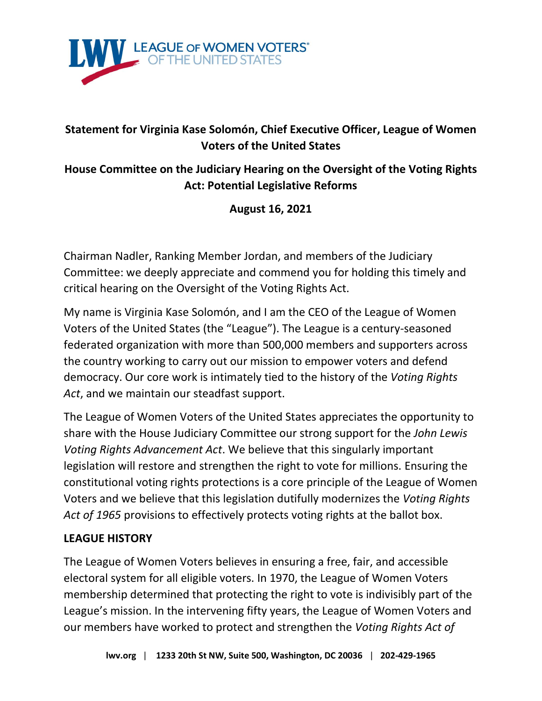

# **Statement for Virginia Kase Solomón, Chief Executive Officer, League of Women Voters of the United States**

# **House Committee on the Judiciary Hearing on the Oversight of the Voting Rights Act: Potential Legislative Reforms**

## **August 16, 2021**

Chairman Nadler, Ranking Member Jordan, and members of the Judiciary Committee: we deeply appreciate and commend you for holding this timely and critical hearing on the Oversight of the Voting Rights Act.

My name is Virginia Kase Solomón, and I am the CEO of the League of Women Voters of the United States (the "League"). The League is a century-seasoned federated organization with more than 500,000 members and supporters across the country working to carry out our mission to empower voters and defend democracy. Our core work is intimately tied to the history of the *Voting Rights Act*, and we maintain our steadfast support.

The League of Women Voters of the United States appreciates the opportunity to share with the House Judiciary Committee our strong support for the *John Lewis Voting Rights Advancement Act*. We believe that this singularly important legislation will restore and strengthen the right to vote for millions. Ensuring the constitutional voting rights protections is a core principle of the League of Women Voters and we believe that this legislation dutifully modernizes the *Voting Rights Act of 1965* provisions to effectively protects voting rights at the ballot box.

#### **LEAGUE HISTORY**

The League of Women Voters believes in ensuring a free, fair, and accessible electoral system for all eligible voters. In 1970, the League of Women Voters membership determined that protecting the right to vote is indivisibly part of the League's mission. In the intervening fifty years, the League of Women Voters and our members have worked to protect and strengthen the *Voting Rights Act of*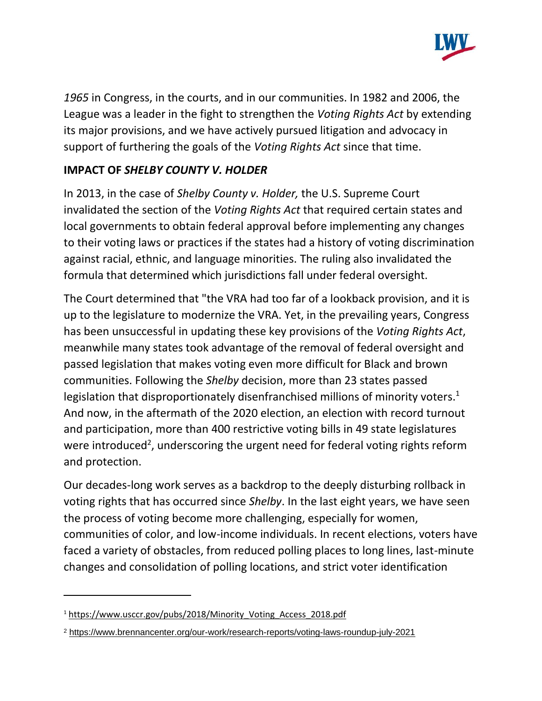

*1965* in Congress, in the courts, and in our communities. In 1982 and 2006, the League was a leader in the fight to strengthen the *Voting Rights Act* by extending its major provisions, and we have actively pursued litigation and advocacy in support of furthering the goals of the *Voting Rights Act* since that time.

# **IMPACT OF** *SHELBY COUNTY V. HOLDER*

In 2013, in the case of *Shelby County v. Holder,* the U.S. Supreme Court invalidated the section of the *Voting Rights Act* that required certain states and local governments to obtain federal approval before implementing any changes to their voting laws or practices if the states had a history of voting discrimination against racial, ethnic, and language minorities. The ruling also invalidated the formula that determined which jurisdictions fall under federal oversight.

The Court determined that "the VRA had too far of a lookback provision, and it is up to the legislature to modernize the VRA. Yet, in the prevailing years, Congress has been unsuccessful in updating these key provisions of the *Voting Rights Act*, meanwhile many states took advantage of the removal of federal oversight and passed legislation that makes voting even more difficult for Black and brown communities. Following the *Shelby* decision, more than 23 states passed legislation that disproportionately disenfranchised millions of minority voters.<sup>1</sup> And now, in the aftermath of the 2020 election, an election with record turnout and participation, more than 400 restrictive voting bills in 49 state legislatures were introduced<sup>2</sup>, underscoring the urgent need for federal voting rights reform and protection.

Our decades-long work serves as a backdrop to the deeply disturbing rollback in voting rights that has occurred since *Shelby*. In the last eight years, we have seen the process of voting become more challenging, especially for women, communities of color, and low-income individuals. In recent elections, voters have faced a variety of obstacles, from reduced polling places to long lines, last-minute changes and consolidation of polling locations, and strict voter identification

<sup>&</sup>lt;sup>1</sup> https://www.usccr.gov/pubs/2018/Minority\_Voting\_Access\_2018.pdf

<sup>2</sup> https://www.brennancenter.org/our-work/research-reports/voting-laws-roundup-july-2021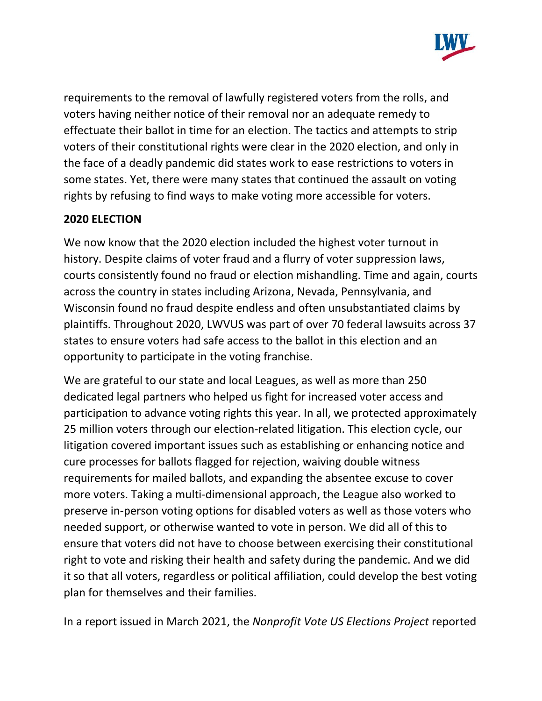

requirements to the removal of lawfully registered voters from the rolls, and voters having neither notice of their removal nor an adequate remedy to effectuate their ballot in time for an election. The tactics and attempts to strip voters of their constitutional rights were clear in the 2020 election, and only in the face of a deadly pandemic did states work to ease restrictions to voters in some states. Yet, there were many states that continued the assault on voting rights by refusing to find ways to make voting more accessible for voters.

### **2020 ELECTION**

We now know that the 2020 election included the highest voter turnout in history. Despite claims of voter fraud and a flurry of voter suppression laws, courts consistently found no fraud or election mishandling. Time and again, courts across the country in states including Arizona, Nevada, Pennsylvania, and Wisconsin found no fraud despite endless and often unsubstantiated claims by plaintiffs. Throughout 2020, LWVUS was part of over 70 federal lawsuits across 37 states to ensure voters had safe access to the ballot in this election and an opportunity to participate in the voting franchise.

We are grateful to our state and local Leagues, as well as more than 250 dedicated legal partners who helped us fight for increased voter access and participation to advance voting rights this year. In all, we protected approximately 25 million voters through our election-related litigation. This election cycle, our litigation covered important issues such as establishing or enhancing notice and cure processes for ballots flagged for rejection, waiving double witness requirements for mailed ballots, and expanding the absentee excuse to cover more voters. Taking a multi-dimensional approach, the League also worked to preserve in-person voting options for disabled voters as well as those voters who needed support, or otherwise wanted to vote in person. We did all of this to ensure that voters did not have to choose between exercising their constitutional right to vote and risking their health and safety during the pandemic. And we did it so that all voters, regardless or political affiliation, could develop the best voting plan for themselves and their families.

In a report issued in March 2021, the *Nonprofit Vote US Elections Project* reported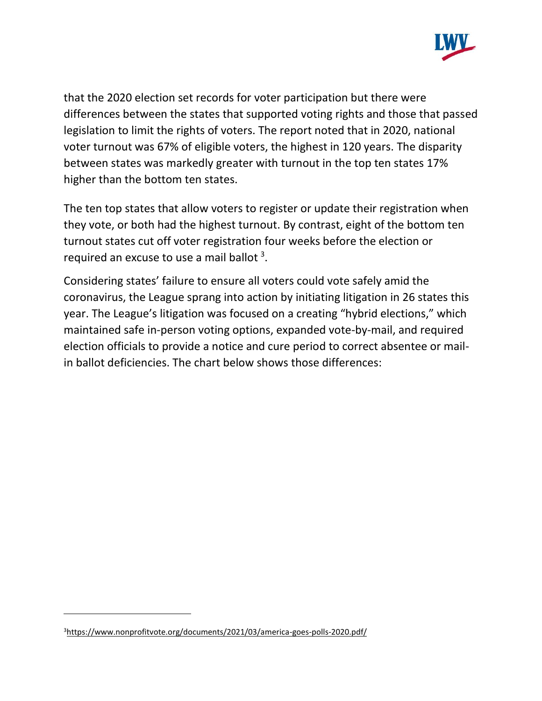

that the 2020 election set records for voter participation but there were differences between the states that supported voting rights and those that passed legislation to limit the rights of voters. The report noted that in 2020, national voter turnout was 67% of eligible voters, the highest in 120 years. The disparity between states was markedly greater with turnout in the top ten states 17% higher than the bottom ten states.

The ten top states that allow voters to register or update their registration when they vote, or both had the highest turnout. By contrast, eight of the bottom ten turnout states cut off voter registration four weeks before the election or required an excuse to use a mail ballot  $3$ .

Considering states' failure to ensure all voters could vote safely amid the coronavirus, the League sprang into action by initiating litigation in 26 states this year. The League's litigation was focused on a creating "hybrid elections," which maintained safe in-person voting options, expanded vote-by-mail, and required election officials to provide a notice and cure period to correct absentee or mailin ballot deficiencies. The chart below shows those differences:

<sup>3</sup><https://www.nonprofitvote.org/documents/2021/03/america-goes-polls-2020.pdf/>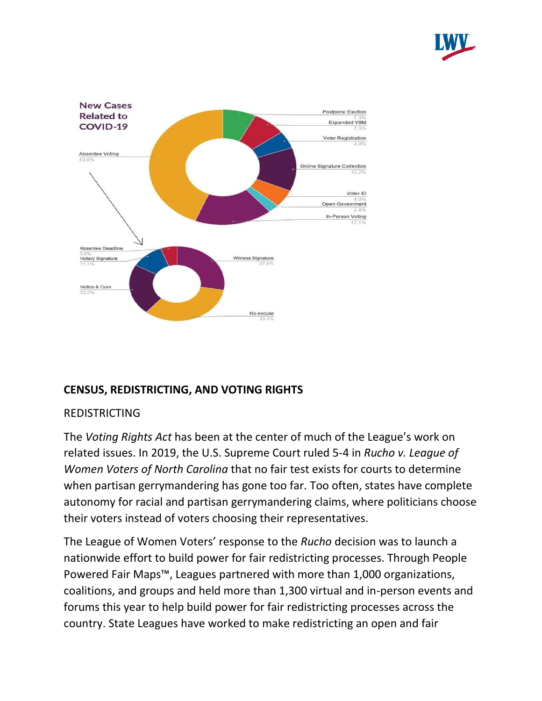



## **CENSUS, REDISTRICTING, AND VOTING RIGHTS**

#### REDISTRICTING

The *Voting Rights Act* has been at the center of much of the League's work on related issues. In 2019, the U.S. Supreme Court ruled 5-4 in *Rucho v. League of Women Voters of North Carolina* that no fair test exists for courts to determine when partisan gerrymandering has gone too far. Too often, states have complete autonomy for racial and partisan gerrymandering claims, where politicians choose their voters instead of voters choosing their representatives.

The League of Women Voters' response to the *Rucho* decision was to launch a nationwide effort to build power for fair redistricting processes. Through People Powered Fair Maps™, Leagues partnered with more than 1,000 organizations, coalitions, and groups and held more than 1,300 virtual and in-person events and forums this year to help build power for fair redistricting processes across the country. State Leagues have worked to make redistricting an open and fair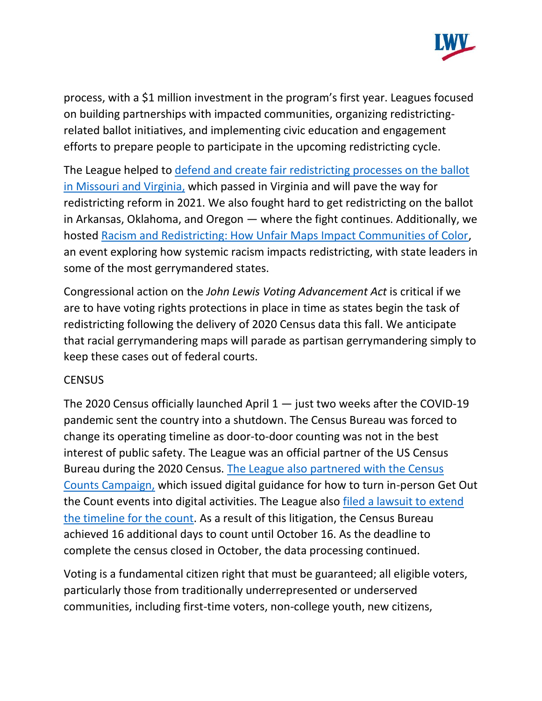

process, with a \$1 million investment in the program's first year. Leagues focused on building partnerships with impacted communities, organizing redistrictingrelated ballot initiatives, and implementing civic education and engagement efforts to prepare people to participate in the upcoming redistricting cycle.

The League helped to [defend and create fair redistricting processes on the ballot](https://www.lwv.org/blog/fair-maps-2020-ballot)  [in Missouri and Virginia,](https://www.lwv.org/blog/fair-maps-2020-ballot) which passed in Virginia and will pave the way for redistricting reform in 2021. We also fought hard to get redistricting on the ballot in Arkansas, Oklahoma, and Oregon — where the fight continues. Additionally, we hosted [Racism and Redistricting: How Unfair Maps Impact Communities of Color,](https://fb.watch/2a5CE1RoLy/) an event exploring how systemic racism impacts redistricting, with state leaders in some of the most gerrymandered states.

Congressional action on the *John Lewis Voting Advancement Act* is critical if we are to have voting rights protections in place in time as states begin the task of redistricting following the delivery of 2020 Census data this fall. We anticipate that racial gerrymandering maps will parade as partisan gerrymandering simply to keep these cases out of federal courts.

#### **CENSUS**

The 2020 Census officially launched April  $1 -$  just two weeks after the COVID-19 pandemic sent the country into a shutdown. The Census Bureau was forced to change its operating timeline as door-to-door counting was not in the best interest of public safety. The League was an official partner of the US Census Bureau during the 2020 Census. The League also [partnered with the Census](https://www.lwv.org/blog/covid-19-census-and-redistricting)  [Counts Campaign,](https://www.lwv.org/blog/covid-19-census-and-redistricting) which issued digital guidance for how to turn in-person Get Out the Count events into digital activities. The League also [filed a lawsuit to extend](https://www.lwv.org/newsroom/press-releases/civil-rights-groups-civic-organizations-and-local-governments-sue-protect)  [the timeline for the count.](https://www.lwv.org/newsroom/press-releases/civil-rights-groups-civic-organizations-and-local-governments-sue-protect) As a result of this litigation, the Census Bureau achieved 16 additional days to count until October 16. As the deadline to complete the census closed in October, the data processing continued.

Voting is a fundamental citizen right that must be guaranteed; all eligible voters, particularly those from traditionally underrepresented or underserved communities, including first-time voters, non-college youth, new citizens,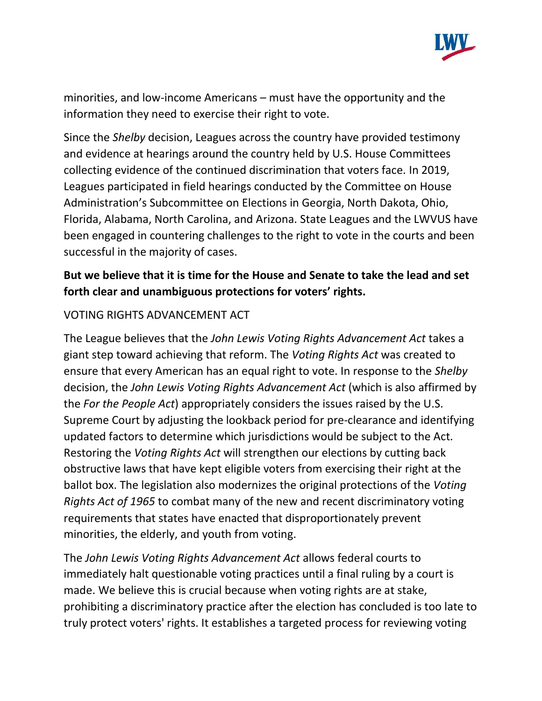

minorities, and low-income Americans – must have the opportunity and the information they need to exercise their right to vote.

Since the *Shelby* decision, Leagues across the country have provided testimony and evidence at hearings around the country held by U.S. House Committees collecting evidence of the continued discrimination that voters face. In 2019, Leagues participated in field hearings conducted by the Committee on House Administration's Subcommittee on Elections in Georgia, North Dakota, Ohio, Florida, Alabama, North Carolina, and Arizona. State Leagues and the LWVUS have been engaged in countering challenges to the right to vote in the courts and been successful in the majority of cases.

# **But we believe that it is time for the House and Senate to take the lead and set forth clear and unambiguous protections for voters' rights.**

### VOTING RIGHTS ADVANCEMENT ACT

The League believes that the *John Lewis Voting Rights Advancement Act* takes a giant step toward achieving that reform. The *Voting Rights Act* was created to ensure that every American has an equal right to vote. In response to the *Shelby* decision, the *John Lewis Voting Rights Advancement Act* (which is also affirmed by the *For the People Act*) appropriately considers the issues raised by the U.S. Supreme Court by adjusting the lookback period for pre-clearance and identifying updated factors to determine which jurisdictions would be subject to the Act. Restoring the *Voting Rights Act* will strengthen our elections by cutting back obstructive laws that have kept eligible voters from exercising their right at the ballot box. The legislation also modernizes the original protections of the *Voting Rights Act of 1965* to combat many of the new and recent discriminatory voting requirements that states have enacted that disproportionately prevent minorities, the elderly, and youth from voting.

The *John Lewis Voting Rights Advancement Act* allows federal courts to immediately halt questionable voting practices until a final ruling by a court is made. We believe this is crucial because when voting rights are at stake, prohibiting a discriminatory practice after the election has concluded is too late to truly protect voters' rights. It establishes a targeted process for reviewing voting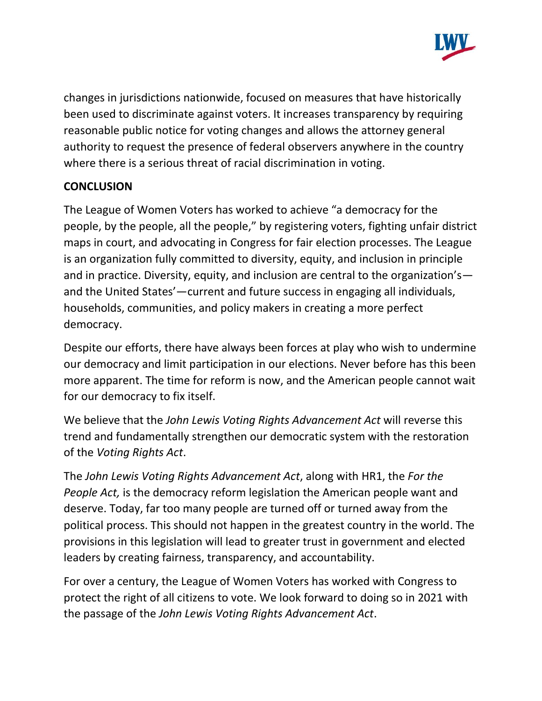

changes in jurisdictions nationwide, focused on measures that have historically been used to discriminate against voters. It increases transparency by requiring reasonable public notice for voting changes and allows the attorney general authority to request the presence of federal observers anywhere in the country where there is a serious threat of racial discrimination in voting.

### **CONCLUSION**

The League of Women Voters has worked to achieve "a democracy for the people, by the people, all the people," by registering voters, fighting unfair district maps in court, and advocating in Congress for fair election processes. The League is an organization fully committed to diversity, equity, and inclusion in principle and in practice. Diversity, equity, and inclusion are central to the organization's and the United States'—current and future success in engaging all individuals, households, communities, and policy makers in creating a more perfect democracy.

Despite our efforts, there have always been forces at play who wish to undermine our democracy and limit participation in our elections. Never before has this been more apparent. The time for reform is now, and the American people cannot wait for our democracy to fix itself.

We believe that the *John Lewis Voting Rights Advancement Act* will reverse this trend and fundamentally strengthen our democratic system with the restoration of the *Voting Rights Act*.

The *John Lewis Voting Rights Advancement Act*, along with HR1, the *For the People Act,* is the democracy reform legislation the American people want and deserve. Today, far too many people are turned off or turned away from the political process. This should not happen in the greatest country in the world. The provisions in this legislation will lead to greater trust in government and elected leaders by creating fairness, transparency, and accountability.

For over a century, the League of Women Voters has worked with Congress to protect the right of all citizens to vote. We look forward to doing so in 2021 with the passage of the *John Lewis Voting Rights Advancement Act*.